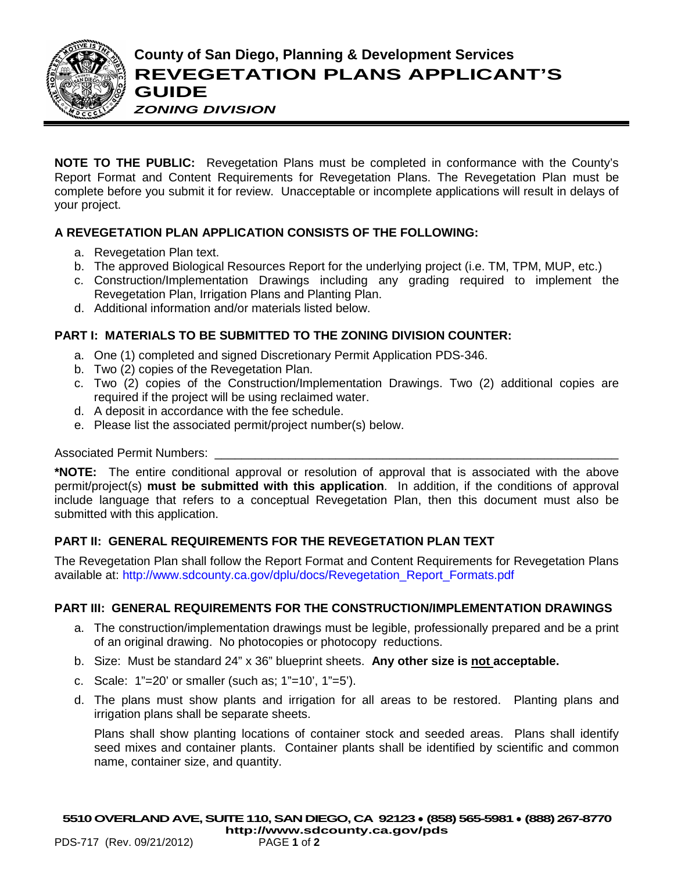

**NOTE TO THE PUBLIC:** Revegetation Plans must be completed in conformance with the County's Report Format and Content Requirements for Revegetation Plans. The Revegetation Plan must be complete before you submit it for review. Unacceptable or incomplete applications will result in delays of your project.

## **A REVEGETATION PLAN APPLICATION CONSISTS OF THE FOLLOWING:**

- a. Revegetation Plan text.
- b. The approved Biological Resources Report for the underlying project (i.e. TM, TPM, MUP, etc.)
- c. Construction/Implementation Drawings including any grading required to implement the Revegetation Plan, Irrigation Plans and Planting Plan.
- d. Additional information and/or materials listed below.

### **PART I: MATERIALS TO BE SUBMITTED TO THE ZONING DIVISION COUNTER:**

- a. One (1) completed and signed Discretionary Permit Application PDS-346.
- b. Two (2) copies of the Revegetation Plan.
- c. Two (2) copies of the Construction/Implementation Drawings. Two (2) additional copies are required if the project will be using reclaimed water.
- d. A deposit in accordance with the fee schedule.
- e. Please list the associated permit/project number(s) below.

#### Associated Permit Numbers:

**\*NOTE:** The entire conditional approval or resolution of approval that is associated with the above permit/project(s) **must be submitted with this application**. In addition, if the conditions of approval include language that refers to a conceptual Revegetation Plan, then this document must also be submitted with this application.

#### **PART II: GENERAL REQUIREMENTS FOR THE REVEGETATION PLAN TEXT**

The Revegetation Plan shall follow the Report Format and Content Requirements for Revegetation Plans available at: [http://www.sdcounty.ca.gov/dplu/docs/Revegetation\\_Report\\_Formats.pdf](http://www.sdcounty.ca.gov/dplu/docs/Revegetation_Report_Formats.pdf)

#### **PART III: GENERAL REQUIREMENTS FOR THE CONSTRUCTION/IMPLEMENTATION DRAWINGS**

- a. The construction/implementation drawings must be legible, professionally prepared and be a print of an original drawing. No photocopies or photocopy reductions.
- b. Size: Must be standard 24" x 36" blueprint sheets. **Any other size is not acceptable.**
- c. Scale: 1"=20' or smaller (such as; 1"=10', 1"=5').
- d. The plans must show plants and irrigation for all areas to be restored. Planting plans and irrigation plans shall be separate sheets.

Plans shall show planting locations of container stock and seeded areas. Plans shall identify seed mixes and container plants. Container plants shall be identified by scientific and common name, container size, and quantity.